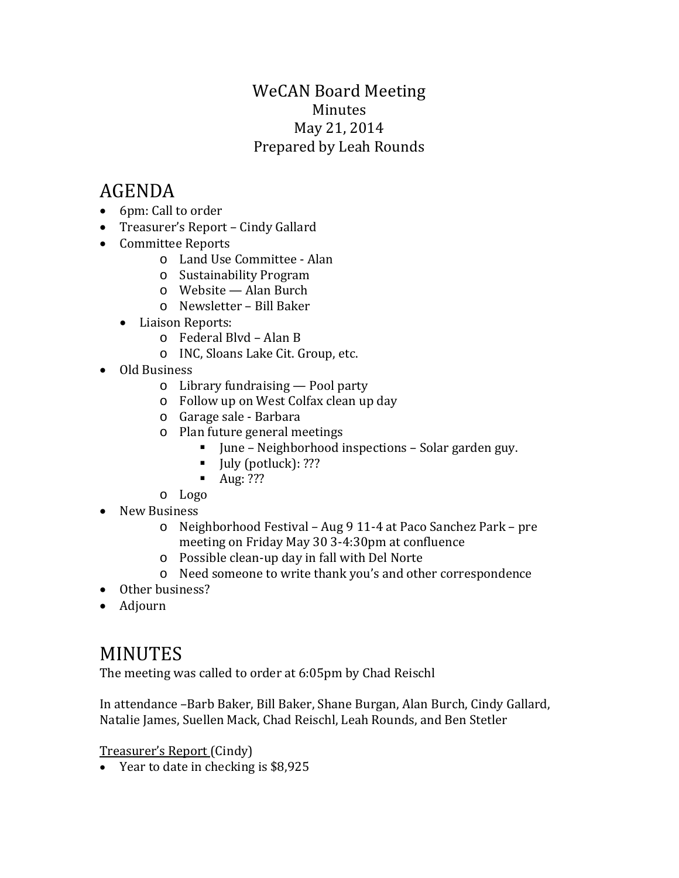### WeCAN Board Meeting Minutes May 21, 2014 Prepared by Leah Rounds

# AGENDA

- 6pm: Call to order
- Treasurer's Report Cindy Gallard
- Committee Reports
	- o Land Use Committee Alan
	- o Sustainability Program
	- o Website Alan Burch
	- o Newsletter Bill Baker
	- Liaison Reports:
		- o Federal Blvd Alan B
		- o INC, Sloans Lake Cit. Group, etc.
- Old Business
	- o Library fundraising Pool party
	- o Follow up on West Colfax clean up day
	- o Garage sale Barbara
	- o Plan future general meetings
		- June Neighborhood inspections Solar garden guy.
		- $\blacksquare$  July (potluck): ???
		- $\blacksquare$  Aug: ???
	- o Logo
- New Business
	- o Neighborhood Festival Aug 9 11-4 at Paco Sanchez Park pre meeting on Friday May 30 3-4:30pm at confluence
	- o Possible clean-up day in fall with Del Norte
	- o Need someone to write thank you's and other correspondence
- Other business?
- Adjourn

## MINUTES

The meeting was called to order at 6:05pm by Chad Reischl

In attendance –Barb Baker, Bill Baker, Shane Burgan, Alan Burch, Cindy Gallard, Natalie James, Suellen Mack, Chad Reischl, Leah Rounds, and Ben Stetler

Treasurer's Report (Cindy)

• Year to date in checking is \$8,925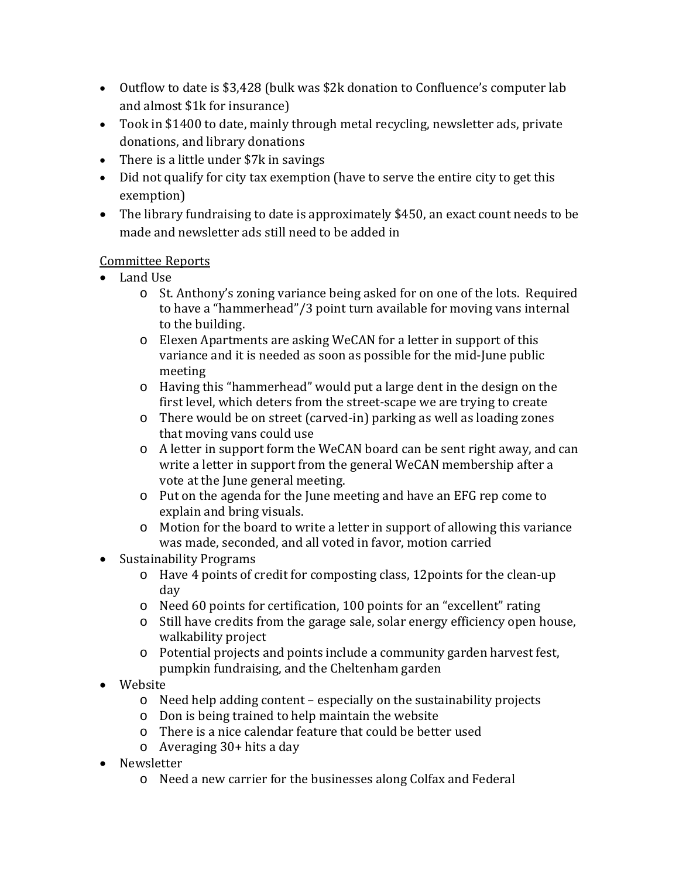- Outflow to date is \$3,428 (bulk was \$2k donation to Confluence's computer lab and almost \$1k for insurance)
- Took in \$1400 to date, mainly through metal recycling, newsletter ads, private donations, and library donations
- There is a little under \$7k in savings
- Did not qualify for city tax exemption (have to serve the entire city to get this exemption)
- The library fundraising to date is approximately \$450, an exact count needs to be made and newsletter ads still need to be added in

#### Committee Reports

- Land Use
	- o St. Anthony's zoning variance being asked for on one of the lots. Required to have a "hammerhead"/3 point turn available for moving vans internal to the building.
	- o Elexen Apartments are asking WeCAN for a letter in support of this variance and it is needed as soon as possible for the mid-June public meeting
	- o Having this "hammerhead" would put a large dent in the design on the first level, which deters from the street-scape we are trying to create
	- o There would be on street (carved-in) parking as well as loading zones that moving vans could use
	- o A letter in support form the WeCAN board can be sent right away, and can write a letter in support from the general WeCAN membership after a vote at the June general meeting.
	- o Put on the agenda for the June meeting and have an EFG rep come to explain and bring visuals.
	- o Motion for the board to write a letter in support of allowing this variance was made, seconded, and all voted in favor, motion carried
- Sustainability Programs
	- o Have 4 points of credit for composting class, 12points for the clean-up day
	- o Need 60 points for certification, 100 points for an "excellent" rating
	- o Still have credits from the garage sale, solar energy efficiency open house, walkability project
	- o Potential projects and points include a community garden harvest fest, pumpkin fundraising, and the Cheltenham garden
- Website
	- o Need help adding content especially on the sustainability projects
	- o Don is being trained to help maintain the website
	- o There is a nice calendar feature that could be better used
	- o Averaging 30+ hits a day
- Newsletter
	- o Need a new carrier for the businesses along Colfax and Federal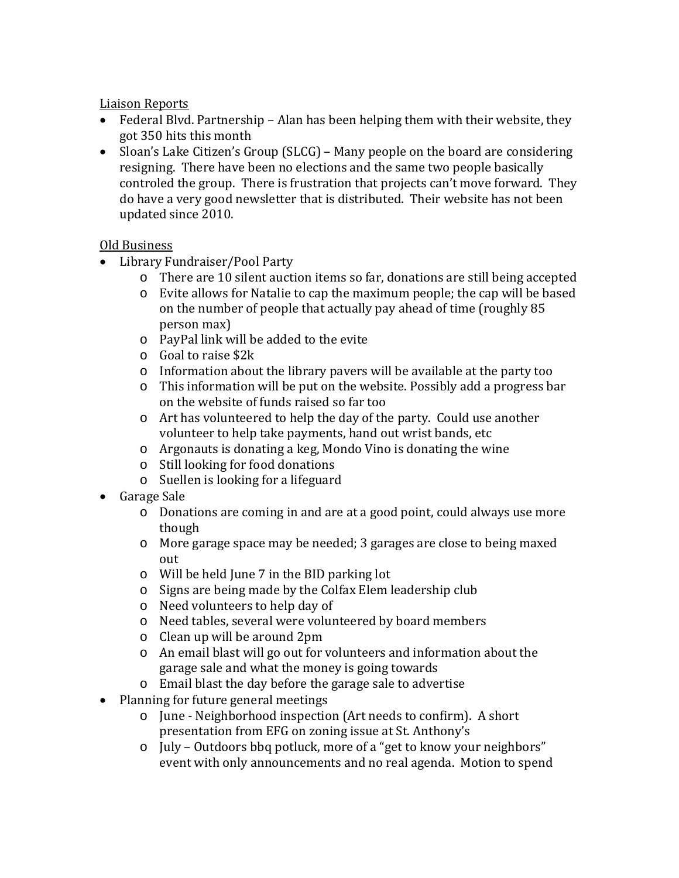Liaison Reports

- Federal Blvd. Partnership Alan has been helping them with their website, they got 350 hits this month
- Sloan's Lake Citizen's Group (SLCG) Many people on the board are considering resigning. There have been no elections and the same two people basically controled the group. There is frustration that projects can't move forward. They do have a very good newsletter that is distributed. Their website has not been updated since 2010.

#### Old Business

- Library Fundraiser/Pool Party
	- o There are 10 silent auction items so far, donations are still being accepted
	- o Evite allows for Natalie to cap the maximum people; the cap will be based on the number of people that actually pay ahead of time (roughly 85 person max)
	- o PayPal link will be added to the evite
	- o Goal to raise \$2k
	- o Information about the library pavers will be available at the party too
	- o This information will be put on the website. Possibly add a progress bar on the website of funds raised so far too
	- o Art has volunteered to help the day of the party. Could use another volunteer to help take payments, hand out wrist bands, etc
	- o Argonauts is donating a keg, Mondo Vino is donating the wine
	- o Still looking for food donations
	- o Suellen is looking for a lifeguard
- Garage Sale
	- o Donations are coming in and are at a good point, could always use more though
	- o More garage space may be needed; 3 garages are close to being maxed out
	- o Will be held June 7 in the BID parking lot
	- o Signs are being made by the Colfax Elem leadership club
	- o Need volunteers to help day of
	- o Need tables, several were volunteered by board members
	- o Clean up will be around 2pm
	- o An email blast will go out for volunteers and information about the garage sale and what the money is going towards
	- o Email blast the day before the garage sale to advertise
- Planning for future general meetings
	- o June Neighborhood inspection (Art needs to confirm). A short presentation from EFG on zoning issue at St. Anthony's
	- o July Outdoors bbq potluck, more of a "get to know your neighbors" event with only announcements and no real agenda. Motion to spend